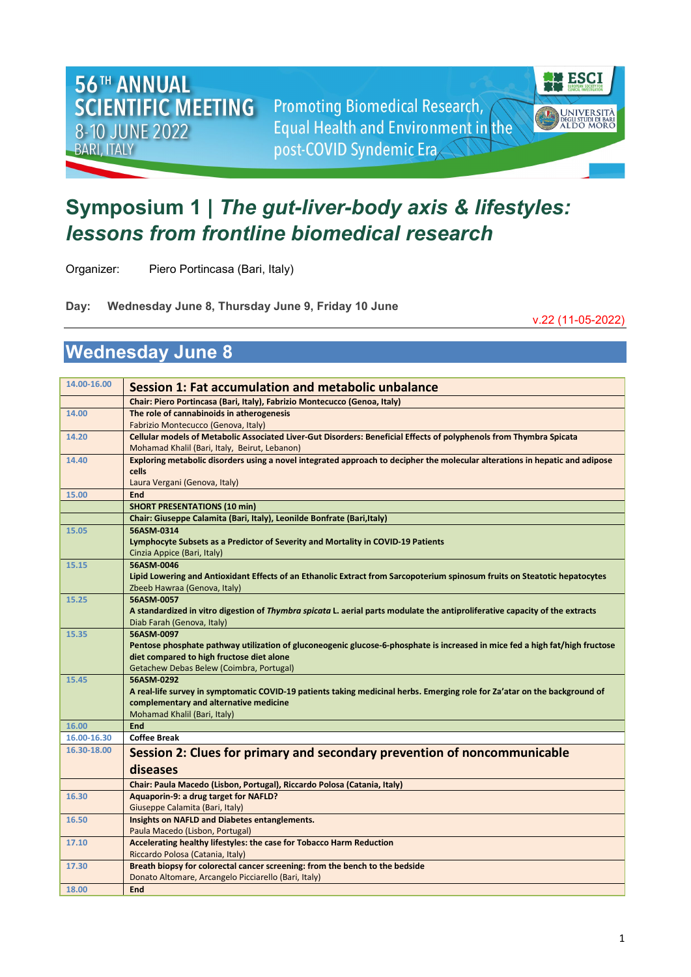**Promoting Biomedical Research, Equal Health and Environment in the** post-COVID Syndemic Era



## **Symposium 1 |** *The gut-liver-body axis & lifestyles: lessons from frontline biomedical research*

Organizer: Piero Portincasa (Bari, Italy)

**Day: Wednesday June 8, Thursday June 9, Friday 10 June** 

v.22 (11-05-2022)

## **Wednesday June 8**

**56TH ANNUAL** 

8-10 JUNE 2022

**BARI, ITALY** 

**SCIENTIFIC MEETING** 

| 14.00-16.00          | Session 1: Fat accumulation and metabolic unbalance                                                                                                                  |
|----------------------|----------------------------------------------------------------------------------------------------------------------------------------------------------------------|
|                      | Chair: Piero Portincasa (Bari, Italy), Fabrizio Montecucco (Genoa, Italy)                                                                                            |
| 14.00                | The role of cannabinoids in atherogenesis<br>Fabrizio Montecucco (Genova, Italy)                                                                                     |
| 14.20                | Cellular models of Metabolic Associated Liver-Gut Disorders: Beneficial Effects of polyphenols from Thymbra Spicata<br>Mohamad Khalil (Bari, Italy, Beirut, Lebanon) |
| 14.40                | Exploring metabolic disorders using a novel integrated approach to decipher the molecular alterations in hepatic and adipose                                         |
|                      | cells                                                                                                                                                                |
|                      | Laura Vergani (Genova, Italy)                                                                                                                                        |
| 15.00                | End                                                                                                                                                                  |
|                      | <b>SHORT PRESENTATIONS (10 min)</b>                                                                                                                                  |
|                      | Chair: Giuseppe Calamita (Bari, Italy), Leonilde Bonfrate (Bari, Italy)                                                                                              |
| 15.05                | 56ASM-0314                                                                                                                                                           |
|                      | Lymphocyte Subsets as a Predictor of Severity and Mortality in COVID-19 Patients                                                                                     |
|                      | Cinzia Appice (Bari, Italy)                                                                                                                                          |
| 15.15                | 56ASM-0046                                                                                                                                                           |
|                      | Lipid Lowering and Antioxidant Effects of an Ethanolic Extract from Sarcopoterium spinosum fruits on Steatotic hepatocytes                                           |
|                      | Zbeeb Hawraa (Genova, Italy)                                                                                                                                         |
| 15.25                | 56ASM-0057                                                                                                                                                           |
|                      | A standardized in vitro digestion of Thymbra spicata L. aerial parts modulate the antiproliferative capacity of the extracts                                         |
|                      | Diab Farah (Genova, Italy)                                                                                                                                           |
| 15.35                | 56ASM-0097                                                                                                                                                           |
|                      | Pentose phosphate pathway utilization of gluconeogenic glucose-6-phosphate is increased in mice fed a high fat/high fructose                                         |
|                      | diet compared to high fructose diet alone                                                                                                                            |
|                      | Getachew Debas Belew (Coimbra, Portugal)                                                                                                                             |
| 15.45                | 56ASM-0292                                                                                                                                                           |
|                      | A real-life survey in symptomatic COVID-19 patients taking medicinal herbs. Emerging role for Za'atar on the background of                                           |
|                      | complementary and alternative medicine                                                                                                                               |
|                      | Mohamad Khalil (Bari, Italy)<br>End                                                                                                                                  |
| 16.00<br>16.00-16.30 | <b>Coffee Break</b>                                                                                                                                                  |
| 16.30-18.00          |                                                                                                                                                                      |
|                      | Session 2: Clues for primary and secondary prevention of noncommunicable                                                                                             |
|                      | diseases                                                                                                                                                             |
|                      | Chair: Paula Macedo (Lisbon, Portugal), Riccardo Polosa (Catania, Italy)                                                                                             |
| 16.30                | Aquaporin-9: a drug target for NAFLD?                                                                                                                                |
|                      | Giuseppe Calamita (Bari, Italy)                                                                                                                                      |
| 16.50                | Insights on NAFLD and Diabetes entanglements.                                                                                                                        |
|                      | Paula Macedo (Lisbon, Portugal)                                                                                                                                      |
| 17.10                | Accelerating healthy lifestyles: the case for Tobacco Harm Reduction                                                                                                 |
|                      | Riccardo Polosa (Catania, Italy)                                                                                                                                     |
| 17.30                | Breath biopsy for colorectal cancer screening: from the bench to the bedside                                                                                         |
|                      | Donato Altomare, Arcangelo Picciarello (Bari, Italy)                                                                                                                 |
| 18.00                | End                                                                                                                                                                  |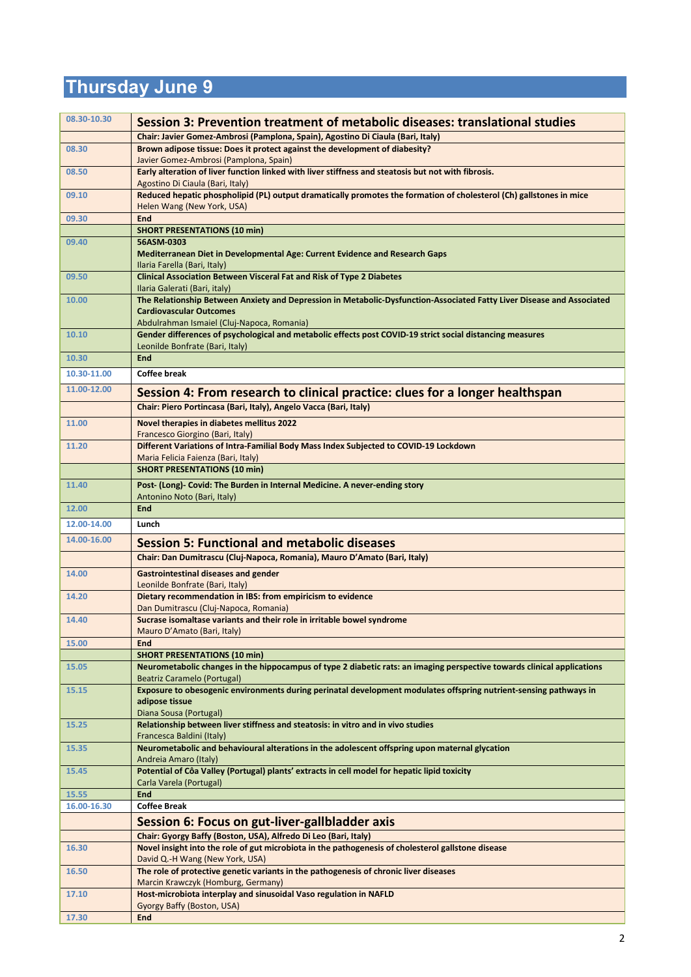## **Thursday June 9**

| 08.30-10.30    | Session 3: Prevention treatment of metabolic diseases: translational studies                                                                                                                           |
|----------------|--------------------------------------------------------------------------------------------------------------------------------------------------------------------------------------------------------|
|                | Chair: Javier Gomez-Ambrosi (Pamplona, Spain), Agostino Di Ciaula (Bari, Italy)                                                                                                                        |
| 08.30          | Brown adipose tissue: Does it protect against the development of diabesity?<br>Javier Gomez-Ambrosi (Pamplona, Spain)                                                                                  |
| 08.50          | Early alteration of liver function linked with liver stiffness and steatosis but not with fibrosis.<br>Agostino Di Ciaula (Bari, Italy)                                                                |
| 09.10          | Reduced hepatic phospholipid (PL) output dramatically promotes the formation of cholesterol (Ch) gallstones in mice<br>Helen Wang (New York, USA)                                                      |
| 09.30          | <b>End</b>                                                                                                                                                                                             |
|                | <b>SHORT PRESENTATIONS (10 min)</b>                                                                                                                                                                    |
| 09.40          | 56ASM-0303<br>Mediterranean Diet in Developmental Age: Current Evidence and Research Gaps<br>Ilaria Farella (Bari, Italy)                                                                              |
| 09.50          | <b>Clinical Association Between Visceral Fat and Risk of Type 2 Diabetes</b><br>Ilaria Galerati (Bari, italy)                                                                                          |
| 10.00          | The Relationship Between Anxiety and Depression in Metabolic-Dysfunction-Associated Fatty Liver Disease and Associated<br><b>Cardiovascular Outcomes</b><br>Abdulrahman Ismaiel (Cluj-Napoca, Romania) |
| 10.10          | Gender differences of psychological and metabolic effects post COVID-19 strict social distancing measures<br>Leonilde Bonfrate (Bari, Italy)                                                           |
| 10.30          | <b>End</b>                                                                                                                                                                                             |
| 10.30-11.00    | Coffee break                                                                                                                                                                                           |
| 11.00-12.00    | Session 4: From research to clinical practice: clues for a longer healthspan                                                                                                                           |
|                | Chair: Piero Portincasa (Bari, Italy), Angelo Vacca (Bari, Italy)                                                                                                                                      |
| 11.00          | Novel therapies in diabetes mellitus 2022                                                                                                                                                              |
|                | Francesco Giorgino (Bari, Italy)                                                                                                                                                                       |
| 11.20          | Different Variations of Intra-Familial Body Mass Index Subjected to COVID-19 Lockdown                                                                                                                  |
|                | Maria Felicia Faienza (Bari, Italy)<br><b>SHORT PRESENTATIONS (10 min)</b>                                                                                                                             |
| 11.40          | Post- (Long)- Covid: The Burden in Internal Medicine. A never-ending story                                                                                                                             |
|                | Antonino Noto (Bari, Italy)                                                                                                                                                                            |
| 12.00          | <b>End</b>                                                                                                                                                                                             |
|                |                                                                                                                                                                                                        |
| 12.00-14.00    | Lunch                                                                                                                                                                                                  |
| 14.00-16.00    | <b>Session 5: Functional and metabolic diseases</b>                                                                                                                                                    |
|                | Chair: Dan Dumitrascu (Cluj-Napoca, Romania), Mauro D'Amato (Bari, Italy)                                                                                                                              |
| 14.00          | <b>Gastrointestinal diseases and gender</b><br>Leonilde Bonfrate (Bari, Italy)                                                                                                                         |
| 14.20          | Dietary recommendation in IBS: from empiricism to evidence                                                                                                                                             |
| 14.40          | Dan Dumitrascu (Cluj-Napoca, Romania)<br>Sucrase isomaltase variants and their role in irritable bowel syndrome                                                                                        |
|                | Mauro D'Amato (Bari, Italy)                                                                                                                                                                            |
| 15.00          | <b>End</b>                                                                                                                                                                                             |
| 15.05          | <b>SHORT PRESENTATIONS (10 min)</b><br>Neurometabolic changes in the hippocampus of type 2 diabetic rats: an imaging perspective towards clinical applications                                         |
| 15.15          | Beatriz Caramelo (Portugal)<br>Exposure to obesogenic environments during perinatal development modulates offspring nutrient-sensing pathways in<br>adipose tissue                                     |
| 15.25          | Diana Sousa (Portugal)<br>Relationship between liver stiffness and steatosis: in vitro and in vivo studies                                                                                             |
| 15.35          | Francesca Baldini (Italy)<br>Neurometabolic and behavioural alterations in the adolescent offspring upon maternal glycation                                                                            |
| 15.45          | Andreia Amaro (Italy)<br>Potential of Côa Valley (Portugal) plants' extracts in cell model for hepatic lipid toxicity                                                                                  |
| 15.55          | Carla Varela (Portugal)<br><b>End</b>                                                                                                                                                                  |
| 16.00-16.30    | <b>Coffee Break</b>                                                                                                                                                                                    |
|                | Session 6: Focus on gut-liver-gallbladder axis                                                                                                                                                         |
|                | Chair: Gyorgy Baffy (Boston, USA), Alfredo Di Leo (Bari, Italy)                                                                                                                                        |
| 16.30          | Novel insight into the role of gut microbiota in the pathogenesis of cholesterol gallstone disease<br>David Q.-H Wang (New York, USA)                                                                  |
| 16.50          | The role of protective genetic variants in the pathogenesis of chronic liver diseases<br>Marcin Krawczyk (Homburg, Germany)                                                                            |
| 17.10<br>17.30 | Host-microbiota interplay and sinusoidal Vaso regulation in NAFLD<br>Gyorgy Baffy (Boston, USA)<br><b>End</b>                                                                                          |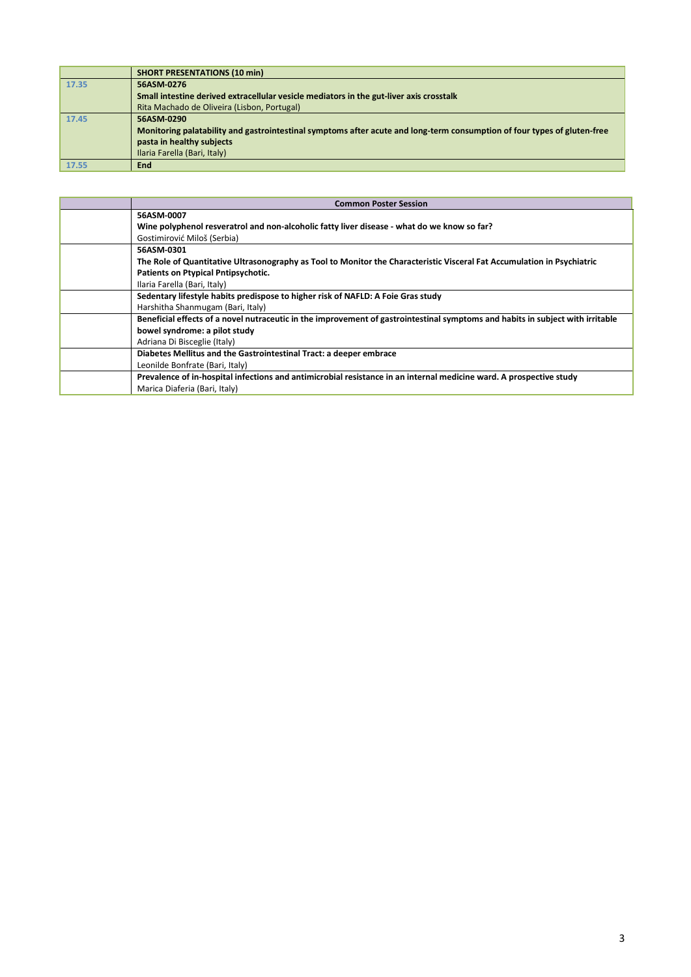|       | <b>SHORT PRESENTATIONS (10 min)</b>                                                                                      |
|-------|--------------------------------------------------------------------------------------------------------------------------|
| 17.35 | 56ASM-0276                                                                                                               |
|       | Small intestine derived extracellular vesicle mediators in the gut-liver axis crosstalk                                  |
|       | Rita Machado de Oliveira (Lisbon, Portugal)                                                                              |
| 17.45 | 56ASM-0290                                                                                                               |
|       | Monitoring palatability and gastrointestinal symptoms after acute and long-term consumption of four types of gluten-free |
|       | pasta in healthy subjects                                                                                                |
|       | Ilaria Farella (Bari, Italy)                                                                                             |
| 17.55 | <b>End</b>                                                                                                               |

| <b>Common Poster Session</b>                                                                                                   |
|--------------------------------------------------------------------------------------------------------------------------------|
| 56ASM-0007                                                                                                                     |
| Wine polyphenol resveratrol and non-alcoholic fatty liver disease - what do we know so far?                                    |
| Gostimirović Miloš (Serbia)                                                                                                    |
| 56ASM-0301                                                                                                                     |
| The Role of Quantitative Ultrasonography as Tool to Monitor the Characteristic Visceral Fat Accumulation in Psychiatric        |
| Patients on Ptypical Pntipsychotic.                                                                                            |
| Ilaria Farella (Bari, Italy)                                                                                                   |
| Sedentary lifestyle habits predispose to higher risk of NAFLD: A Foie Gras study                                               |
| Harshitha Shanmugam (Bari, Italy)                                                                                              |
| Beneficial effects of a novel nutraceutic in the improvement of gastrointestinal symptoms and habits in subject with irritable |
| bowel syndrome: a pilot study                                                                                                  |
| Adriana Di Bisceglie (Italy)                                                                                                   |
| Diabetes Mellitus and the Gastrointestinal Tract: a deeper embrace                                                             |
| Leonilde Bonfrate (Bari, Italy)                                                                                                |
| Prevalence of in-hospital infections and antimicrobial resistance in an internal medicine ward. A prospective study            |
| Marica Diaferia (Bari, Italy)                                                                                                  |